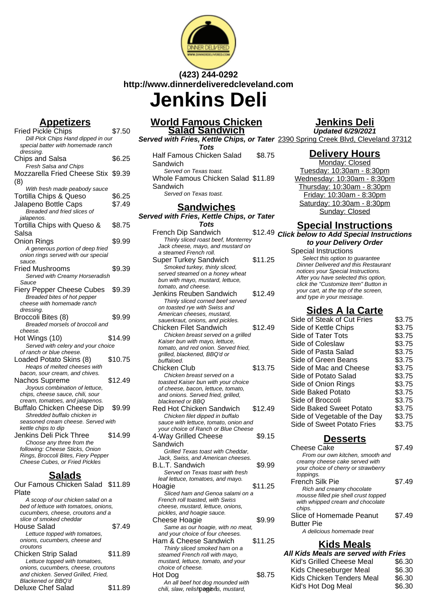

# **(423) 244-0292 http://www.dinnerdeliveredcleveland.com**

**Jenkins Deli**

# **Appetizers**

| <b>Fried Pickle Chips</b>                     | \$7.50  |
|-----------------------------------------------|---------|
| Dill Pick Chips Hand dipped in our            |         |
| special batter with homemade ranch            |         |
| dressing.                                     |         |
| Chips and Salsa                               | \$6.25  |
| Fresh Salsa and Chips                         |         |
| Mozzarella Fried Cheese Stix \$9.39           |         |
| (8)                                           |         |
| With fresh made peabody sauce                 |         |
| <b>Tortilla Chips &amp; Queso</b>             | \$6.25  |
| Jalapeno Bottle Caps                          | \$7.49  |
| Breaded and fried slices of                   |         |
| jalapenos.                                    |         |
| Tortilla Chips with Queso &                   | \$8.75  |
| Salsa                                         |         |
| Onion Rings                                   | \$9.99  |
|                                               |         |
| A generous portion of deep fried              |         |
| onion rings served with our special<br>sauce. |         |
| Fried Mushrooms                               | \$9.39  |
| Served with Creamy Horseradish                |         |
| Sauce                                         |         |
| <b>Fiery Pepper Cheese Cubes</b>              | \$9.39  |
| Breaded bites of hot pepper                   |         |
| cheese with homemade ranch                    |         |
| dressing.                                     |         |
| Broccoli Bites (8)                            | \$9.99  |
| Breaded morsels of broccoli and               |         |
| cheese.                                       |         |
| Hot Wings (10)                                | \$14.99 |
| Served with celery and your choice            |         |
| of ranch or blue cheese.                      |         |
| Loaded Potato Skins (8)                       | \$10.75 |
| Heaps of melted cheeses with                  |         |
| bacon, sour cream, and chives.                |         |
| Nachos Supreme                                | \$12.49 |
| Joyous combination of lettuce,                |         |
| chips, cheese sauce, chili, sour              |         |
| cream, tomatoes, and jalapenos.               |         |
| <b>Buffalo Chicken Cheese Dip</b>             | \$9.99  |
| Shredded buffalo chicken in                   |         |
| seasoned cream cheese. Served with            |         |
| kettle chips to dip                           |         |
| Jenkins Deli Pick Three                       | \$14.99 |
| Choose any three from the                     |         |
| following: Cheese Sticks, Onion               |         |
| Rings, Broccoli Bites, Fiery Pepper           |         |
| Cheese Cubes, or Fried Pickles                |         |
|                                               |         |

## **Salads**

| Our Famous Chicken Salad \$11.89      |         |
|---------------------------------------|---------|
| Plate                                 |         |
| A scoop of our chicken salad on a     |         |
| bed of lettuce with tomatoes, onions, |         |
| cucumbers, cheese, croutons and a     |         |
| slice of smoked cheddar               |         |
| House Salad                           | \$7.49  |
| Lettuce topped with tomatoes,         |         |
| onions, cucumbers, cheese and         |         |
| croutons                              |         |
| <b>Chicken Strip Salad</b>            | \$11.89 |
| Lettuce topped with tomatoes,         |         |
| onions, cucumbers, cheese, croutons   |         |
| and chicken. Served Grilled, Fried,   |         |
| Blackened or BBQ'd                    |         |
| Deluxe Chef Salad                     |         |

#### **World Famous Chicken Salad Sandwich Served with Fries, Kettle Chips, or Tater** 2390 Spring Creek Blvd, Cleveland 37312

**Tots** Half Famous Chicken Salad **Sandwich** \$8.75 Served on Texas toast. Whole Famous Chicken Salad \$11.89 **Sandwich** Served on Texas toast.

### **Sandwiches**

#### **Served with Fries, Kettle Chips, or Tater Tots**

| French Dip Sandwich                                    | ، \$12.49 |  |
|--------------------------------------------------------|-----------|--|
| Thinly sliced roast beef, Monterrey                    |           |  |
| Jack cheese, mayo, and mustard on                      |           |  |
| a steamed French roll.                                 |           |  |
| Super Turkey Sandwich                                  | \$11.25   |  |
| Smoked turkey, thinly sliced,                          |           |  |
| served steamed on a honey wheat                        |           |  |
| bun with mayo, mustard, lettuce,                       |           |  |
| tomato, and cheese.                                    |           |  |
| Jenkins Reuben Sandwich                                | \$12.49   |  |
| Thinly sliced corned beef served                       |           |  |
| on toasted rye with Swiss and                          |           |  |
| American cheeses, mustard,                             |           |  |
| sauerkraut, onions, and pickles.                       |           |  |
| <b>Chicken Filet Sandwich</b>                          | \$12.49   |  |
| Chicken breast served on a grilled                     |           |  |
| Kaiser bun with mayo, lettuce,                         |           |  |
| tomato, and red onion. Served fried,                   |           |  |
| grilled, blackened, BBQ'd or                           |           |  |
| buffaloed.                                             |           |  |
| Chicken Club                                           | \$13.75   |  |
| Chicken breast served on a                             |           |  |
| toasted Kaiser bun with your choice                    |           |  |
| of cheese, bacon, lettuce, tomato,                     |           |  |
| and onions. Served fried, grilled,<br>blackened or BBQ |           |  |
|                                                        |           |  |
| Red Hot Chicken Sandwich                               | \$12.49   |  |
| Chicken filet dipped in buffalo                        |           |  |
| sauce with lettuce, tomato, onion and                  |           |  |
| your choice of Ranch or Blue Cheese                    |           |  |
| 4-Way Grilled Cheese                                   | \$9.15    |  |
| Sandwich                                               |           |  |
| Grilled Texas toast with Cheddar,                      |           |  |
| Jack, Swiss, and American cheeses.                     |           |  |
| B.L.T. Sandwich                                        | \$9.99    |  |
| Served on Texas toast with fresh                       |           |  |
| leaf lettuce, tomatoes, and mayo.                      |           |  |
| Hoagie                                                 | \$11.25   |  |
| Sliced ham and Genoa salami on a                       |           |  |
| French roll toasted, with Swiss                        |           |  |
| cheese, mustard, lettuce, onions,                      |           |  |
| pickles, and hoagie sauce.                             |           |  |
| Cheese Hoagie                                          | \$9.99    |  |
| Same as our hoagie, with no meat,                      |           |  |
| and your choice of four cheeses.                       |           |  |
| Ham & Cheese Sandwich                                  | \$11.25   |  |
| Thinly sliced smoked ham on a                          |           |  |
| steamed French roll with mayo,                         |           |  |
| mustard, lettuce, tomato, and your                     |           |  |
| choice of cheese.                                      |           |  |
| Hot Dog                                                | \$8.75    |  |
| An all beef hot dog mounded with                       |           |  |

# **Jenkins Deli**

**Updated 6/29/2021**

### **Delivery Hours**

Monday: Closed Tuesday: 10:30am - 8:30pm Wednesday: 10:30am - 8:30pm Thursday: 10:30am - 8:30pm Friday: 10:30am - 8:30pm Saturday: 10:30am - 8:30pm Sunday: Closed

### **Special Instructions**

**Click below to Add Special Instructions to your Delivery Order**

Special Instructions Select this option to quarantee Dinner Delivered and this Restaurant notices your Special Instructions. After you have selected this option, click the "Customize Item" Button in your cart, at the top of the screen, and type in your message.

## **Sides A la Carte**

| Side of Steak of Cut Fries   | \$3.75 |
|------------------------------|--------|
| Side of Kettle Chips         | \$3.75 |
| Side of Tater Tots           | \$3.75 |
| Side of Coleslaw             | \$3.75 |
| Side of Pasta Salad          | \$3.75 |
| Side of Green Beans          | \$3.75 |
| Side of Mac and Cheese       | \$3.75 |
| Side of Potato Salad         | \$3.75 |
| Side of Onion Rings          | \$3.75 |
| Side Baked Potato            | \$3.75 |
| Side of Broccoli             | \$3.75 |
| Side Baked Sweet Potato      | \$3.75 |
| Side of Vegetable of the Day | \$3.75 |
| Side of Sweet Potato Fries   | \$3.75 |
|                              |        |

### **Desserts**

| \$7.49 |
|--------|
|        |
|        |
| \$7.49 |
|        |
| \$7.49 |
|        |
|        |

### **Kids Meals**

| <b>THING SHOUG UNIONUG HUILI UITU</b><br>steamed French roll with mayo,  |        | All Kids Meals are served with Fries |        |
|--------------------------------------------------------------------------|--------|--------------------------------------|--------|
| mustard, lettuce, tomato, and your                                       |        | Kid's Grilled Cheese Meal            | \$6.30 |
| choice of cheese.                                                        |        | Kids Cheeseburger Meal               | \$6.30 |
| ot Doa                                                                   | \$8.75 | Kids Chicken Tenders Meal            | \$6.30 |
| An all beef hot dog mounded with<br>chili, slaw, relishpagions, mustard, |        | Kid's Hot Dog Meal                   | \$6.30 |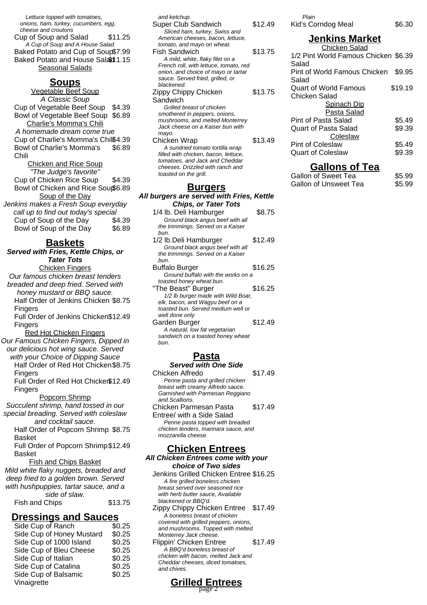Lettuce topped with tomatoes, onions, ham, turkey, cucumbers, egg, cheese and croutons Cup of Soup and Salad \$11.25 A Cup of Soup and A House Salad Baked Potato and Cup of Soup\$7.99 Baked Potato and House Salad 1.15 **Seasonal Salads** 

#### **Soups**

Vegetable Beef Soup A Classic Soup Cup of Vegetable Beef Soup \$4.39 Bowl of Vegetable Beef Soup \$6.89 Charlie's Momma's Chili A homemade dream come true Cup of Charlie's Momma's Chili\$4.39 Bowl of Charlie's Momma's Chili \$6.89 Chicken and Rice Soup "The Judge's favorite" Cup of Chicken Rice Soup \$4.39 Bowl of Chicken and Rice Soup\$6.89 Soup of the Day Jenkins makes a Fresh Soup everyday call up to find out today's special Cup of Soup of the Day \$4.39 Bowl of Soup of the Day \$6.89

### **Baskets**

**Served with Fries, Kettle Chips, or Tater Tots** Chicken Fingers Our famous chicken breast tenders

breaded and deep fried. Served with honey mustard or BBQ sauce. Half Order of Jenkins Chicken \$8.75

Fingers

Full Order of Jenkins Chicken \$12.49 **Fingers** 

Red Hot Chicken Fingers Our Famous Chicken Fingers, Dipped in

our delicious hot wing sauce. Served with your Choice of Dipping Sauce

Half Order of Red Hot Chicken \$8.75 **Fingers** 

Full Order of Red Hot Chicken \$12.49 Fingers

Popcorn Shrimp Succulent shrimp, hand tossed in our special breading. Served with coleslaw and cocktail sauce.

Half Order of Popcorn Shrimp \$8.75 Basket

Full Order of Popcorn Shrimp \$12.49 **Basket** 

#### Fish and Chips Basket

Mild white flaky nuggets, breaded and deep fried to a golden brown. Served with hushpuppies, tartar sauce, and a

| side of slaw.  |         |
|----------------|---------|
| Fish and Chips | \$13.75 |

#### **Dressings and Sauces**

| Side Cup of Ranch         | \$0.25 |
|---------------------------|--------|
| Side Cup of Honey Mustard | \$0.25 |
| Side Cup of 1000 Island   | \$0.25 |
| Side Cup of Bleu Cheese   | \$0.25 |
| Side Cup of Italian       | \$0.25 |
| Side Cup of Catalina      | \$0.25 |
| Side Cup of Balsamic      | \$0.25 |
| Vinaigrette               |        |

| urgers                                                                                                                              |         |
|-------------------------------------------------------------------------------------------------------------------------------------|---------|
| filled with chicken, bacon, lettuce,<br>tomatoes, and Jack and Cheddar<br>cheeses. Drizzled with ranch and<br>toasted on the grill. |         |
| A sundried tomato tortilla wrap                                                                                                     |         |
| Chicken Wrap                                                                                                                        | \$13.49 |
| mayo.                                                                                                                               |         |
| Jack cheese on a Kaiser bun with                                                                                                    |         |
| mushrooms, and melted Monterrey                                                                                                     |         |
| smothered in peppers, onions,                                                                                                       |         |
| Grilled breast of chicken                                                                                                           |         |
| Sandwich                                                                                                                            |         |
| Zippy Chippy Chicken                                                                                                                | \$13.75 |
| blackened.                                                                                                                          |         |
| sauce. Served fried, grilled, or                                                                                                    |         |
| onion, and choice of mayo or tartar                                                                                                 |         |
| French roll, with lettuce, tomato, red                                                                                              |         |
| A mild, white, flaky filet on a                                                                                                     |         |
| Fish Sandwich                                                                                                                       | \$13.75 |
| tomato, and mayo on wheat.                                                                                                          |         |
| Sliced ham, turkey, Swiss and<br>American cheeses, bacon, lettuce,                                                                  |         |
| <b>Super Club Sandwich</b>                                                                                                          | \$12.49 |
| and ketchup.                                                                                                                        |         |
|                                                                                                                                     |         |

**All burgers are served with Fries, Kettle Chips, or Tater Tots**

| 1/4 lb. Deli Hamburger             | \$8.75  |
|------------------------------------|---------|
| Ground black angus beef with all   |         |
| the trimmings. Served on a Kaiser  |         |
| bun.                               |         |
| 1/2 lb.Deli Hamburger              | \$12.49 |
| Ground black angus beef with all   |         |
| the trimmings. Served on a Kaiser  |         |
| bun.                               |         |
| <b>Buffalo Burger</b>              | \$16.25 |
| Ground buffalo with the works on a |         |

toasted honey wheat bun. "The Beast" Burger \$16.25 1/2 lb burger made with Wild Boar, elk, bacon, and Wagyu beef on a toasted bun. Served medium well or well done only Garden Burger **\$12.49** 

A natural, low fat vegetarian sandwich on a toasted honey wheat bun.

### **Pasta**

| <b>Served with One Side</b>          |         |
|--------------------------------------|---------|
| Chicken Alfredo                      | \$17.49 |
| Penne pasta and grilled chicken      |         |
| breast with creamy Alfredo sauce.    |         |
| Garnished with Parmesan Reggiano     |         |
| and Scallions.                       |         |
| Chicken Parmesan Pasta               | \$17.49 |
| Entree/ with a Side Salad            |         |
| Penne pasta topped with breaded      |         |
| chicken tenders, marinara sauce, and |         |
| mozzarella cheese.                   |         |
|                                      |         |
| <b>Chicken Entrees</b>               |         |

#### **All Chicken Entrees come with your choice of Two sides**

Jenkins Grilled Chicken Entree \$16.25 A fire grilled boneless chicken breast served over seasoned rice with herb butter sauce, Available blackened or BBQ'd.

Zippy Chippy Chicken Entree \$17.49 A boneless breast of chicken covered with grilled peppers, onions, and mushrooms. Topped with melted Monterrey Jack cheese. Flippin' Chicken Entree \$17.49 A BBQ'd boneless breast of chicken with bacon, melted Jack and

Cheddar cheeses, diced tomatoes, and chives.

**Grilled Entrees**

page 2

# Plain Kid's Corndog Meal \$6.30

#### **Jenkins Market** Chicken Salad 1/2 Pint World Famous Chicken \$6.39 Salad Pint of World Famous Chicken Salad \$9.95 Quart of World Famous Chicken Salad \$19.19 Spinach Dip Pasta Salad Pint of Pasta Salad \$5.49 Quart of Pasta Salad \$9.39 **Coleslaw** Pint of Coleslaw \$5.49 Quart of Coleslaw \$9.39

#### **Gallons of Tea**

| Gallon of Sweet Tea   | \$5.99 |
|-----------------------|--------|
| Gallon of Unsweet Tea | \$5.99 |